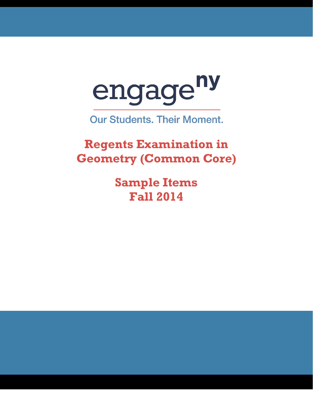

**Our Students. Their Moment.** 

**Regents Examination in Geometry (Common Core)** 

> **Sample Items Fall 2014**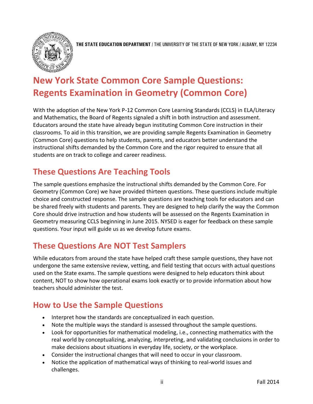

**THE STATE EDUCATION DEPARTMENT** / THE UNIVERSITY OF THE STATE OF NEW YORK / ALBANY, NY 12234

# **New York State Common Core Sample Questions: Regents Examination in Geometry (Common Core)**

With the adoption of the New York P-12 Common Core Learning Standards (CCLS) in ELA/Literacy and Mathematics, the Board of Regents signaled a shift in both instruction and assessment. Educators around the state have already begun instituting Common Core instruction in their classrooms. To aid in this transition, we are providing sample Regents Examination in Geometry (Common Core) questions to help students, parents, and educators better understand the instructional shifts demanded by the Common Core and the rigor required to ensure that all students are on track to college and career readiness.

## **These Questions Are Teaching Tools**

The sample questions emphasize the instructional shifts demanded by the Common Core. For Geometry (Common Core) we have provided thirteen questions. These questions include multiple choice and constructed response. The sample questions are teaching tools for educators and can be shared freely with students and parents. They are designed to help clarify the way the Common Core should drive instruction and how students will be assessed on the Regents Examination in Geometry measuring CCLS beginning in June 2015. NYSED is eager for feedback on these sample questions. Your input will guide us as we develop future exams.

## **These Questions Are NOT Test Samplers**

While educators from around the state have helped craft these sample questions, they have not undergone the same extensive review, vetting, and field testing that occurs with actual questions used on the State exams. The sample questions were designed to help educators think about content, NOT to show how operational exams look exactly or to provide information about how teachers should administer the test.

## **How to Use the Sample Questions**

- Interpret how the standards are conceptualized in each question.
- Note the multiple ways the standard is assessed throughout the sample questions.
- Look for opportunities for mathematical modeling, i.e., connecting mathematics with the real world by conceptualizing, analyzing, interpreting, and validating conclusions in order to make decisions about situations in everyday life, society, or the workplace.
- Consider the instructional changes that will need to occur in your classroom.
- Notice the application of mathematical ways of thinking to real-world issues and challenges.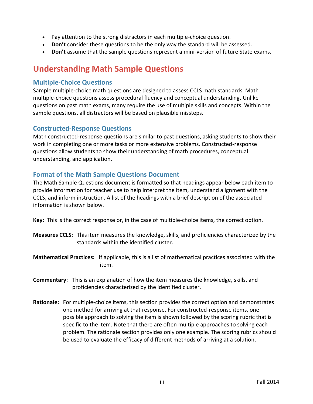- Pay attention to the strong distractors in each multiple-choice question.
- **Don't** consider these questions to be the only way the standard will be assessed.
- **Don't** assume that the sample questions represent a mini-version of future State exams.

## **Understanding Math Sample Questions**

## **Multiple-Choice Questions**

Sample multiple-choice math questions are designed to assess CCLS math standards. Math multiple-choice questions assess procedural fluency and conceptual understanding. Unlike questions on past math exams, many require the use of multiple skills and concepts. Within the sample questions, all distractors will be based on plausible missteps.

## **Constructed-Response Questions**

Math constructed-response questions are similar to past questions, asking students to show their work in completing one or more tasks or more extensive problems. Constructed-response questions allow students to show their understanding of math procedures, conceptual understanding, and application.

## **Format of the Math Sample Questions Document**

The Math Sample Questions document is formatted so that headings appear below each item to provide information for teacher use to help interpret the item, understand alignment with the CCLS, and inform instruction. A list of the headings with a brief description of the associated information is shown below.

**Key:** This is the correct response or, in the case of multiple-choice items, the correct option.

- **Measures CCLS:** This item measures the knowledge, skills, and proficiencies characterized by the standards within the identified cluster.
- **Mathematical Practices:** If applicable, this is a list of mathematical practices associated with the item.
- **Commentary:** This is an explanation of how the item measures the knowledge, skills, and proficiencies characterized by the identified cluster.
- **Rationale:** For multiple-choice items, this section provides the correct option and demonstrates one method for arriving at that response. For constructed-response items, one possible approach to solving the item is shown followed by the scoring rubric that is specific to the item. Note that there are often multiple approaches to solving each problem. The rationale section provides only one example. The scoring rubrics should be used to evaluate the efficacy of different methods of arriving at a solution.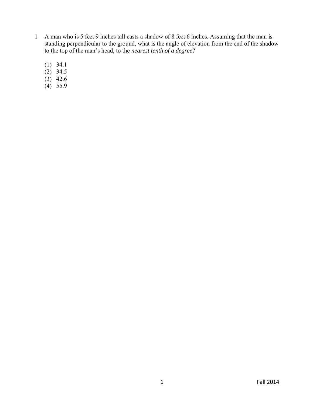- 1 A man who is 5 feet 9 inches tall casts a shadow of 8 feet 6 inches. Assuming that the man is standing perpendicular to the ground, what is the angle of elevation from the end of the shadow to the top of the man's head, to the *nearest tenth of a degree*?
	- (1) 34.1
	- $(2)$  34.5
	- $(3)$  42.6
	- $(4)$  55.9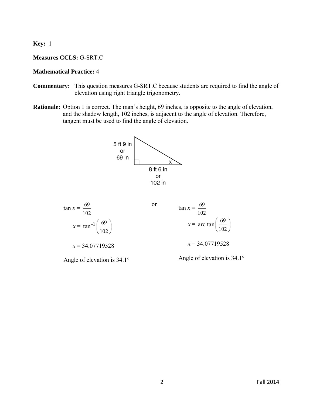**Key:** 1

## **Measures CCLS:** G-SRT.C

#### **Mathematical Practice:** 4

- **Commentary:** This question measures G-SRT.C because students are required to find the angle of elevation using right triangle trigonometry.
- **Rationale:** Option 1 is correct. The man's height, 69 inches, is opposite to the angle of elevation, and the shadow length, 102 inches, is adjacent to the angle of elevation. Therefore, tangent must be used to find the angle of elevation.





Angle of elevation is 34.1°

Angle of elevation is 34.1°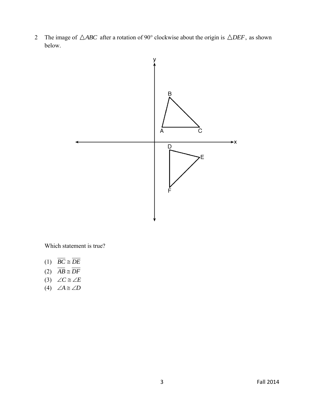2 The image of  $\triangle ABC$  after a rotation of 90° clockwise about the origin is  $\triangle DEF$ , as shown below.



Which statement is true?

- $(1)$  *BC*  $\cong$  *DE*
- $(2)$   $AB \cong DF$
- $(3)$   $\angle C \cong \angle E$
- (4)  $\angle A \cong \angle D$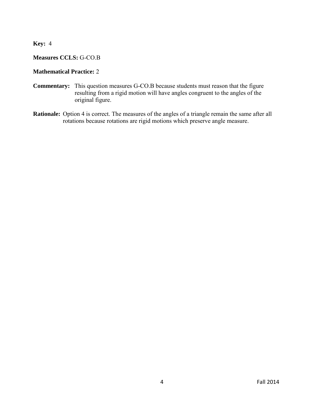**Key:** 4

## **Measures CCLS:** G-CO.B

## **Mathematical Practice:** 2

- **Commentary:** This question measures G-CO.B because students must reason that the figure resulting from a rigid motion will have angles congruent to the angles of the original figure.
- **Rationale:** Option 4 is correct. The measures of the angles of a triangle remain the same after all rotations because rotations are rigid motions which preserve angle measure.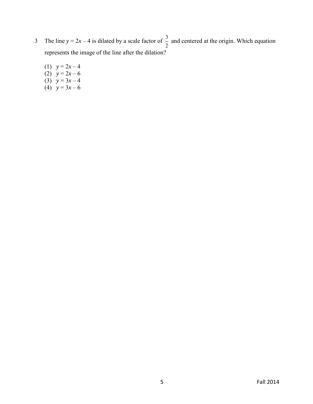- 3 The line  $y = 2x 4$  is dilated by a scale factor of  $\frac{3}{5}$ 2 and centered at the origin. Which equation represents the image of the line after the dilation?
- (1)  $y = 2x 4$ (2)  $y = 2x - 6$ (3)  $y = 3x - 4$ (4)  $y = 3x - 6$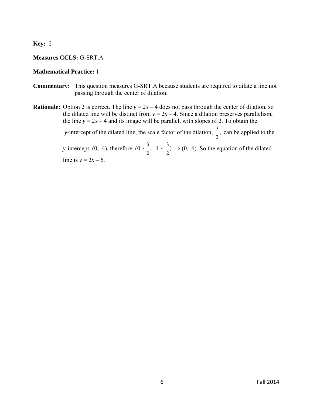**Key:** 2

## **Measures CCLS:** G-SRT.A

### **Mathematical Practice:** 1

- **Commentary:** This question measures G-SRT.A because students are required to dilate a line not passing through the center of dilation.
- **Rationale:** Option 2 is correct. The line  $y = 2x 4$  does not pass through the center of dilation, so the dilated line will be distinct from  $y = 2x - 4$ . Since a dilation preserves parallelism, the line  $y = 2x - 4$  and its image will be parallel, with slopes of 2. To obtain the *y*-intercept of the dilated line, the scale factor of the dilation,  $\frac{3}{5}$ 2 , can be applied to the *y*-intercept,  $(0,-4)$ , therefore,  $(0 \cdot \frac{3}{2})$ 2  $, -4 \cdot \frac{3}{4}$ 2  $) \rightarrow (0,-6)$ . So the equation of the dilated line is  $y = 2x - 6$ .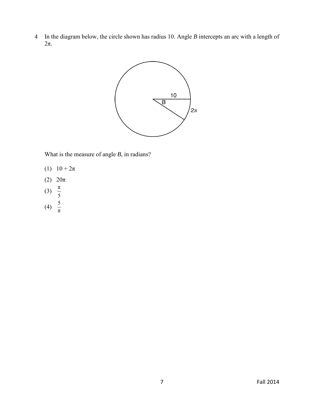4 In the diagram below, the circle shown has radius 10. Angle *B* intercepts an arc with a length of 2π.



What is the measure of angle *B*, in radians?

(1)  $10 + 2\pi$ 

π

- (2) 20π
- (3)  $\frac{\pi}{2}$ 
	- 5
- (4)  $\frac{5}{5}$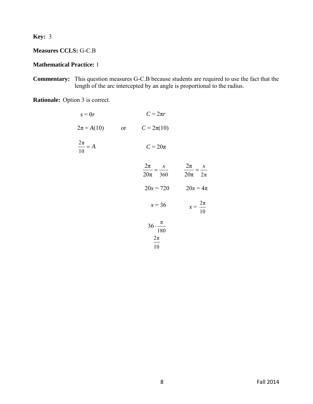**Key:** 3

**Measures CCLS:** G-C.B

## **Mathematical Practice:** 1

**Commentary:** This question measures G-C.B because students are required to use the fact that the length of the arc intercepted by an angle is proportional to the radius.

**Rationale:** Option 3 is correct.

| $s = \theta r$        |    | $C = 2\pi r$                                    |                                       |
|-----------------------|----|-------------------------------------------------|---------------------------------------|
| $2\pi = A(10)$        | or | $C = 2\pi(10)$                                  |                                       |
| $\frac{2\pi}{10} = A$ |    | $C = 20\pi$                                     |                                       |
|                       |    | $\frac{2\pi}{20\pi} = \frac{x}{360}$            | $\frac{2\pi}{20\pi} = \frac{x}{2\pi}$ |
|                       |    | $20x = 720$                                     | $20x = 4\pi$                          |
|                       |    | $x = 36$                                        | $x = \frac{2\pi}{10}$                 |
|                       |    | $36 \cdot \frac{\pi}{180}$<br>$\frac{2\pi}{10}$ |                                       |
|                       |    |                                                 |                                       |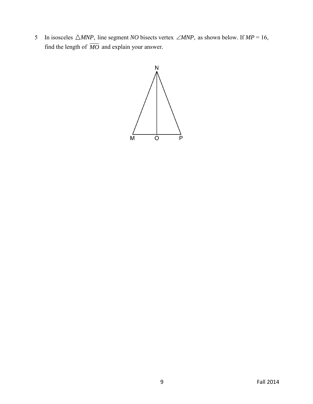5 In isosceles  $\triangle MNP$ , line segment *NO* bisects vertex  $\angle MNP$ , as shown below. If  $MP = 16$ , find the length of *MO* and explain your answer.

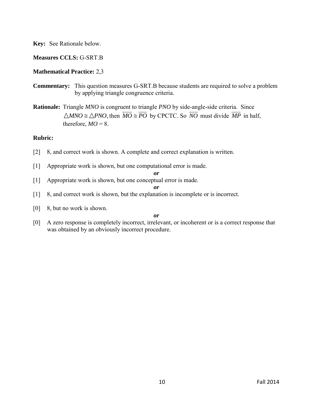## **Measures CCLS:** G-SRT.B

## **Mathematical Practice:** 2,3

- **Commentary:** This question measures G-SRT.B because students are required to solve a problem by applying triangle congruence criteria.
- **Rationale:** Triangle *MNO* is congruent to triangle *PNO* by side-angle-side criteria. Since  $MNO \cong \triangle PNO$ , then  $\overline{MO} \cong \overline{PO}$  by CPCTC. So  $\overline{NO}$  must divide  $\overline{MP}$  in half, therefore,  $MO = 8$ .

#### **Rubric:**

- [2] 8, and correct work is shown. A complete and correct explanation is written.
- [1] Appropriate work is shown, but one computational error is made.

*or*

[1] Appropriate work is shown, but one conceptual error is made.

#### *or*

- [1] 8, and correct work is shown, but the explanation is incomplete or is incorrect.
- [0] 8, but no work is shown.

#### *or*

[0] A zero response is completely incorrect, irrelevant, or incoherent or is a correct response that was obtained by an obviously incorrect procedure.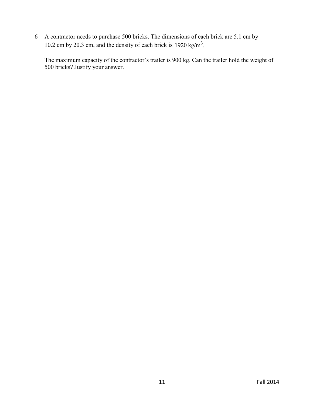6 A contractor needs to purchase 500 bricks. The dimensions of each brick are 5.1 cm by 10.2 cm by 20.3 cm, and the density of each brick is  $1920 \text{ kg/m}^3$ .

 The maximum capacity of the contractor's trailer is 900 kg. Can the trailer hold the weight of 500 bricks? Justify your answer.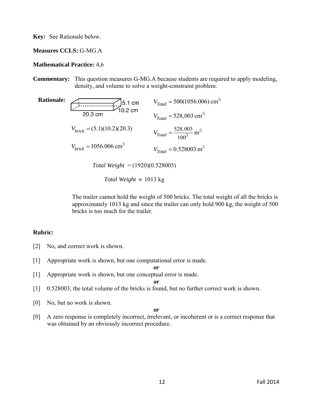#### **Measures CCLS:** G-MG.A

#### **Mathematical Practice:** 4,6

**Commentary:** This question measures G-MG.A because students are required to apply modeling, density, and volume to solve a weight-constraint problem.

| <b>Rationale:</b> | 5.1 cm<br>0.2 cm                    | $V_{Total} = 500(1056.006)$ cm <sup>3</sup>     |
|-------------------|-------------------------------------|-------------------------------------------------|
|                   | 20.3 cm                             | $V_{Total} = 528,003 \text{ cm}^3$              |
|                   | $V_{brick} = (5.1)(10.2)(20.3)$     | $V_{Total} = \frac{528,003}{100^3} \text{ m}^3$ |
|                   | $V_{brick} = 1056.006 \text{ cm}^3$ | $V_{Total} = 0.528003 \text{ m}^3$              |

*Total Weight* = (1920)(0.528003)

Total Weight  $\approx 1013$  kg

 The trailer cannot hold the weight of 500 bricks. The total weight of all the bricks is approximately 1013 kg and since the trailer can only hold 900 kg, the weight of 500 bricks is too much for the trailer.

#### **Rubric:**

- [2] No, and correct work is shown.
- [1] Appropriate work is shown, but one computational error is made.
- [1] Appropriate work is shown, but one conceptual error is made.

*or* 

*or*

- [1] 0.528003, the total volume of the bricks is found, but no further correct work is shown.
- [0] No, but no work is shown.

#### *or*

[0] A zero response is completely incorrect, irrelevant, or incoherent or is a correct response that was obtained by an obviously incorrect procedure.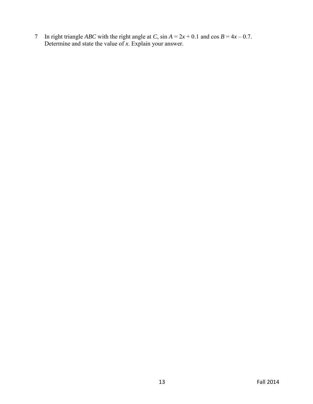7 In right triangle *ABC* with the right angle at *C*, sin  $A = 2x + 0.1$  and cos  $B = 4x - 0.7$ . Determine and state the value of *x*. Explain your answer.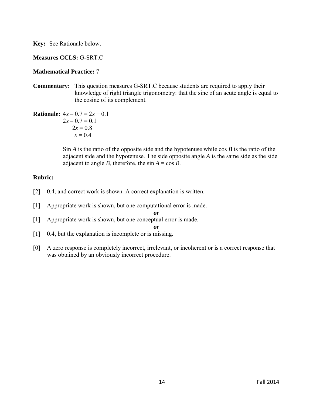## **Measures CCLS:** G-SRT.C

## **Mathematical Practice:** 7

**Commentary:** This question measures G-SRT.C because students are required to apply their knowledge of right triangle trigonometry: that the sine of an acute angle is equal to the cosine of its complement.

**Rationale:** 
$$
4x - 0.7 = 2x + 0.1
$$
  
 $2x - 0.7 = 0.1$   
 $2x = 0.8$   
 $x = 0.4$ 

Sin *A* is the ratio of the opposite side and the hypotenuse while cos *B* is the ratio of the adjacent side and the hypotenuse. The side opposite angle *A* is the same side as the side adjacent to angle *B*, therefore, the  $\sin A = \cos B$ .

## **Rubric:**

- [2] 0.4, and correct work is shown. A correct explanation is written.
- [1] Appropriate work is shown, but one computational error is made.

*or* 

[1] Appropriate work is shown, but one conceptual error is made.

*or* 

- [1] 0.4, but the explanation is incomplete or is missing.
- [0] A zero response is completely incorrect, irrelevant, or incoherent or is a correct response that was obtained by an obviously incorrect procedure.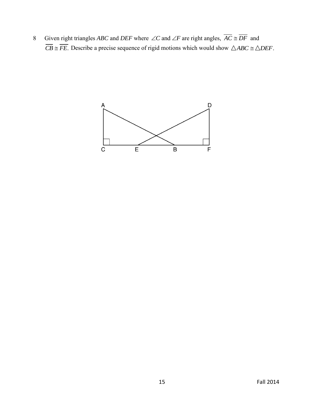8 Given right triangles *ABC* and *DEF* where  $\angle C$  and  $\angle F$  are right angles,  $AC \cong DF$  and  $\overline{CB} \cong \overline{FE}$ . Describe a precise sequence of rigid motions which would show  $\triangle ABC \cong \triangle DEF$ .

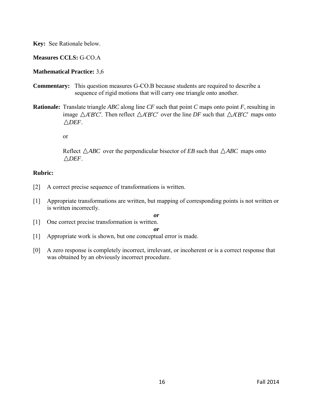## **Measures CCLS:** G-CO.A

## **Mathematical Practice:** 3,6

- **Commentary:** This question measures G-CO.B because students are required to describe a sequence of rigid motions that will carry one triangle onto another.
- **Rationale:** Translate triangle *ABC* along line *CF* such that point *C* maps onto point *F*, resulting in image  $\triangle A'B'C'$ . Then reflect  $\triangle A'B'C'$  over the line *DF* such that  $\triangle A'B'C'$  maps onto  $\triangle DEF$

or

Reflect  $\triangle ABC$  over the perpendicular bisector of *EB* such that  $\triangle ABC$  maps onto *DEF*.

## **Rubric:**

- [2] A correct precise sequence of transformations is written.
- [1] Appropriate transformations are written, but mapping of corresponding points is not written or is written incorrectly.
	- *or*
- [1] One correct precise transformation is written.

*or*

- [1] Appropriate work is shown, but one conceptual error is made.
- [0] A zero response is completely incorrect, irrelevant, or incoherent or is a correct response that was obtained by an obviously incorrect procedure.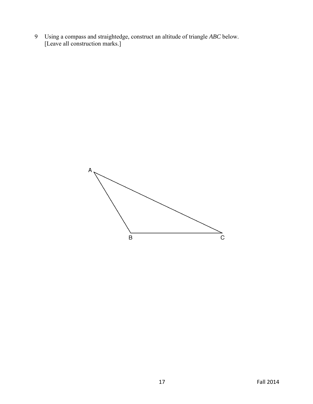9 Using a compass and straightedge, construct an altitude of triangle *ABC* below. [Leave all construction marks.]

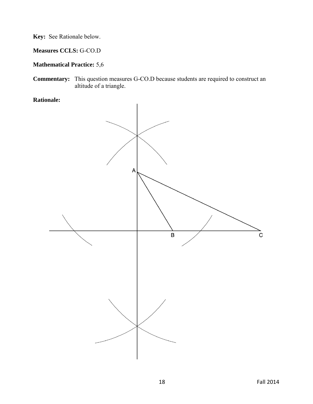**Measures CCLS:** G-CO.D

## **Mathematical Practice:** 5,6

**Commentary:** This question measures G-CO.D because students are required to construct an altitude of a triangle.

**Rationale:** 

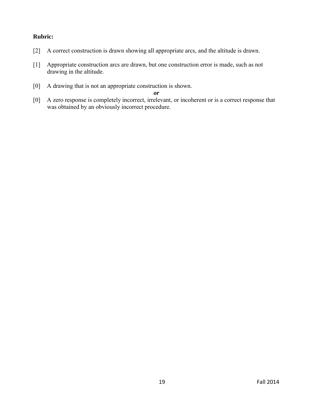## **Rubric:**

- [2] A correct construction is drawn showing all appropriate arcs, and the altitude is drawn.
- [1] Appropriate construction arcs are drawn, but one construction error is made, such as not drawing in the altitude.
- [0] A drawing that is not an appropriate construction is shown.

*or* 

[0] A zero response is completely incorrect, irrelevant, or incoherent or is a correct response that was obtained by an obviously incorrect procedure.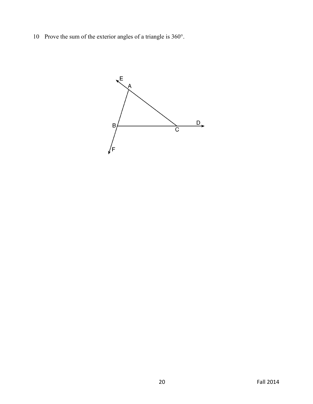10 Prove the sum of the exterior angles of a triangle is 360°.

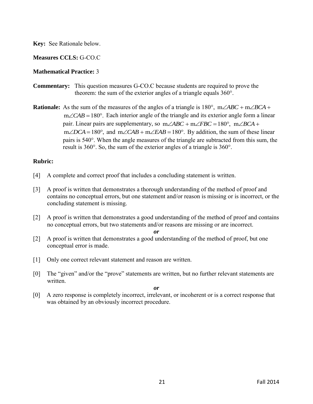## **Measures CCLS:** G-CO.C

## **Mathematical Practice:** 3

- **Commentary:** This question measures G-CO.C because students are required to prove the theorem: the sum of the exterior angles of a triangle equals 360°.
- **Rationale:** As the sum of the measures of the angles of a triangle is  $180^{\circ}$ ,  $m\angle ABC + m\angle BCA +$  $m\angle CAB = 180^\circ$ . Each interior angle of the triangle and its exterior angle form a linear pair. Linear pairs are supplementary, so  $m\angle ABC + m\angle FBC = 180^{\circ}$ ,  $m\angle BCA +$ m  $\angle$ CAB – 180. Each interior angle of the triangle and its exterior angle form a finear pair. Linear pairs are supplementary, so  $m\angle ABC + m\angle FBC = 180^\circ$ ,  $m\angle BCA + m\angle DCA = 180^\circ$ , and  $m\angle CAB + m\angle EAB = 180^\circ$ . By addition, the sum o pairs is 540°. When the angle measures of the triangle are subtracted from this sum, the result is 360°. So, the sum of the exterior angles of a triangle is 360°.

## **Rubric:**

- [4] A complete and correct proof that includes a concluding statement is written.
- [3] A proof is written that demonstrates a thorough understanding of the method of proof and contains no conceptual errors, but one statement and/or reason is missing or is incorrect, or the concluding statement is missing.
- [2] A proof is written that demonstrates a good understanding of the method of proof and contains no conceptual errors, but two statements and/or reasons are missing or are incorrect.

*or* 

- [2] A proof is written that demonstrates a good understanding of the method of proof, but one conceptual error is made.
- [1] Only one correct relevant statement and reason are written.
- [0] The "given" and/or the "prove" statements are written, but no further relevant statements are written.

*or* 

[0] A zero response is completely incorrect, irrelevant, or incoherent or is a correct response that was obtained by an obviously incorrect procedure.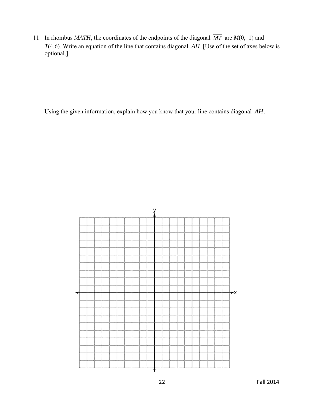11 In rhombus *MATH*, the coordinates of the endpoints of the diagonal *MT* are *M*(0,–1) and *T*(4,6). Write an equation of the line that contains diagonal *AH*. [Use of the set of axes below is optional.]

Using the given information, explain how you know that your line contains diagonal *AH*.

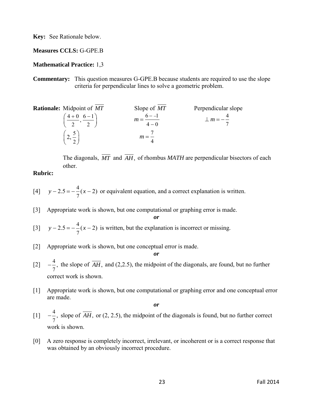**Measures CCLS:** G-GPE.B

#### **Mathematical Practice:** 1,3

**Commentary:** This question measures G-GPE.B because students are required to use the slope criteria for perpendicular lines to solve a geometric problem.

**Rationale:** Midpoint of *MT* Slope of *MT* Perpendicular slope  $\left(\frac{4+0}{1}, \frac{6-1}{1}\right)$  $\left(\frac{4+0}{2}, \frac{6-1}{2}\right)$   $m = \frac{6-1}{4-0}$  $4 - 0$  $m = \frac{6 - 4}{1}$  $\overline{\phantom{a}}$  $=$ 4 7  $\perp$ *m* =  $-$ 5  $\left(2,\frac{5}{2}\right)$ 7 4 *m*

The diagonals, MT and AH, of rhombus MATH are perpendicular bisectors of each other.

#### **Rubric:**

- [4] 4  $y - 2.5 = -\frac{4}{7}(x - 2)$  or equivalent equation, and a correct explanation is written.
- [3] Appropriate work is shown, but one computational or graphing error is made.
- $[3]$   $y-2.5=-\frac{4}{5}$  $y - 2.5 = -\frac{4}{7}(x - 2)$  is written, but the explanation is incorrect or missing.
- [2] Appropriate work is shown, but one conceptual error is made.
- $[2] -\frac{4}{5}$ 7  $-\frac{1}{\epsilon}$ , the slope of *AH*, and (2,2.5), the midpoint of the diagonals, are found, but no further correct work is shown.

*or*

*or*

[1] Appropriate work is shown, but one computational or graphing error and one conceptual error are made.

*or*

- $[1] -\frac{4}{5}$ 7  $-\frac{4}{5}$ , slope of *AH*, or (2, 2.5), the midpoint of the diagonals is found, but no further correct work is shown.
- [0] A zero response is completely incorrect, irrelevant, or incoherent or is a correct response that was obtained by an obviously incorrect procedure.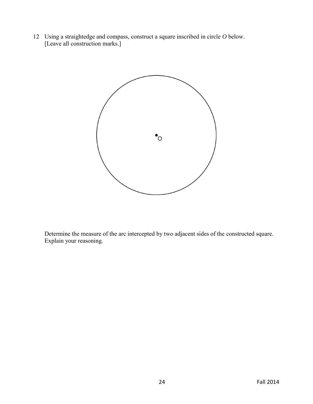12 Using a straightedge and compass, construct a square inscribed in circle *O* below. [Leave all construction marks.]



 Determine the measure of the arc intercepted by two adjacent sides of the constructed square. Explain your reasoning.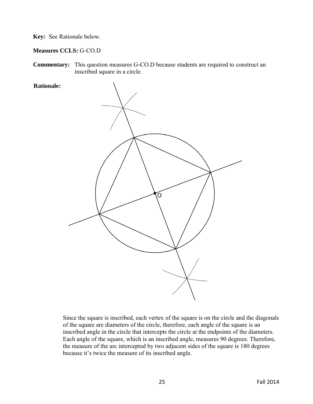**Measures CCLS:** G-CO.D

**Commentary:** This question measures G-CO.D because students are required to construct an inscribed square in a circle.



Since the square is inscribed, each vertex of the square is on the circle and the diagonals of the square are diameters of the circle, therefore, each angle of the square is an inscribed angle in the circle that intercepts the circle at the endpoints of the diameters. Each angle of the square, which is an inscribed angle, measures 90 degrees. Therefore, the measure of the arc intercepted by two adjacent sides of the square is 180 degrees because it's twice the measure of its inscribed angle.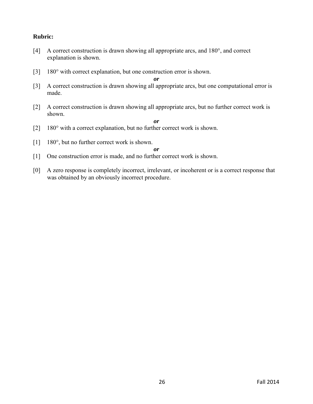## **Rubric:**

- [4] A correct construction is drawn showing all appropriate arcs, and 180°, and correct explanation is shown.
- [3] 180° with correct explanation, but one construction error is shown.

*or* 

- [3] A correct construction is drawn showing all appropriate arcs, but one computational error is made.
- [2] A correct construction is drawn showing all appropriate arcs, but no further correct work is shown.

*or* 

- [2] 180° with a correct explanation, but no further correct work is shown.
- [1] 180°, but no further correct work is shown.

*or* 

- [1] One construction error is made, and no further correct work is shown.
- [0] A zero response is completely incorrect, irrelevant, or incoherent or is a correct response that was obtained by an obviously incorrect procedure.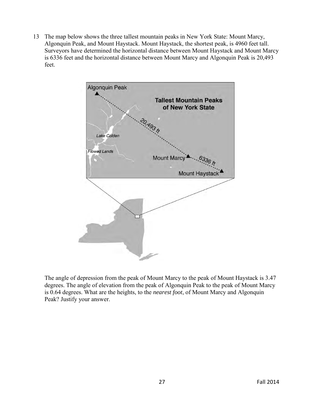13 The map below shows the three tallest mountain peaks in New York State: Mount Marcy, Algonquin Peak, and Mount Haystack. Mount Haystack, the shortest peak, is 4960 feet tall. Surveyors have determined the horizontal distance between Mount Haystack and Mount Marcy is 6336 feet and the horizontal distance between Mount Marcy and Algonquin Peak is 20,493 feet.



 The angle of depression from the peak of Mount Marcy to the peak of Mount Haystack is 3.47 degrees. The angle of elevation from the peak of Algonquin Peak to the peak of Mount Marcy is 0.64 degrees. What are the heights, to the *nearest foot*, of Mount Marcy and Algonquin Peak? Justify your answer.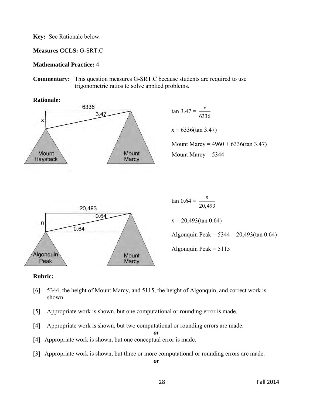**Measures CCLS:** G-SRT.C

#### **Mathematical Practice:** 4

**Commentary:** This question measures G-SRT.C because students are required to use trigonometric ratios to solve applied problems.



#### **Rubric:**

- [6] 5344, the height of Mount Marcy, and 5115, the height of Algonquin, and correct work is shown.
- [5] Appropriate work is shown, but one computational or rounding error is made.
- [4] Appropriate work is shown, but two computational or rounding errors are made.

[4] Appropriate work is shown, but one conceptual error is made.

[3] Appropriate work is shown, but three or more computational or rounding errors are made.

*or*